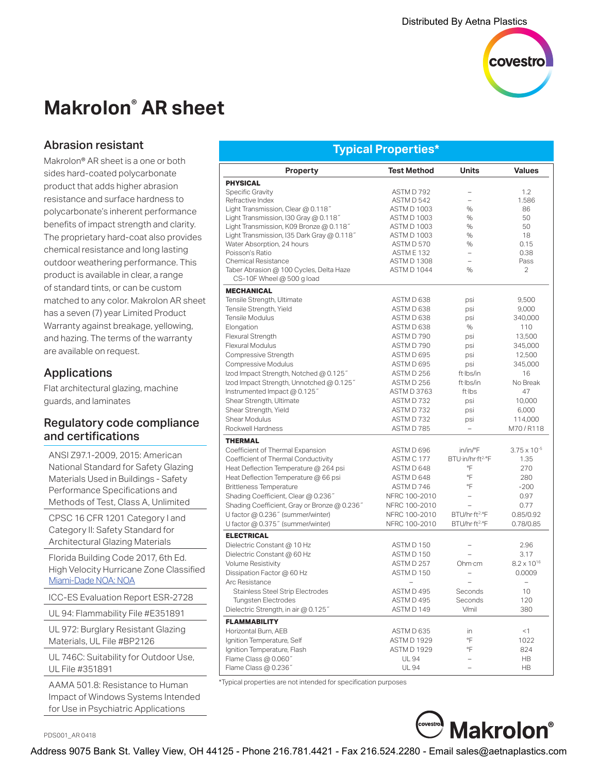

# **Makrolon® AR sheet**

## Abrasion resistant

Makrolon® AR sheet is a one or both sides hard-coated polycarbonate product that adds higher abrasion resistance and surface hardness to polycarbonate's inherent performance benefits of impact strength and clarity. The proprietary hard-coat also provides chemical resistance and long lasting outdoor weathering performance. This product is available in clear, a range of standard tints, or can be custom matched to any color. Makrolon AR sheet has a seven (7) year Limited Product Warranty against breakage, yellowing, and hazing. The terms of the warranty are available on request.

## Applications

Flat architectural glazing, machine guards, and laminates

## Regulatory code compliance and certifications

ANSI Z97.1-2009, 2015: American National Standard for Safety Glazing Materials Used in Buildings - Safety Performance Specifications and Methods of Test, Class A, Unlimited

CPSC 16 CFR 1201 Category I and Category II: Safety Standard for Architectural Glazing Materials

Florida Building Code 2017, 6th Ed. High Velocity Hurricane Zone Classified [Miami-Dade NOA: NOA](http://www.miamidade.gov/building/pc-result_app.asp?fldNOA=&Classification=0%2CUnknown+%2F+Unselected%2C1&AdvancedSearch=Go&applicantlist=101475&categorylist=0&subcategorylist=0&materiallist=0&impactlist=0&fldMDPP=0.00&fldMDPN=0.00)

ICC-ES Evaluation Report ESR-2728

UL 94: Flammability File #E351891

UL 972: Burglary Resistant Glazing Materials, UL File #BP2126

UL 746C: Suitability for Outdoor Use, UL File #351891

AAMA 501.8: Resistance to Human Impact of Windows Systems Intended for Use in Psychiatric Applications

PDS001\_AR 0418

## **Typical Properties\***

| <b>Property</b>                              | <b>Test Method</b>   | <b>Units</b>               | <b>Values</b>            |
|----------------------------------------------|----------------------|----------------------------|--------------------------|
| <b>PHYSICAL</b>                              |                      |                            |                          |
| <b>Specific Gravity</b>                      | ASTM D 792           |                            | 1.2                      |
| Refractive Index                             | ASTM D 542           | $\equiv$                   | 1.586                    |
| Light Transmission, Clear @ 0.118"           | <b>ASTM D 1003</b>   | $\%$                       | 86                       |
| Light Transmission, I30 Gray @ 0.118"        | <b>ASTM D 1003</b>   | %                          | 50                       |
| Light Transmission, K09 Bronze @ 0.118"      | <b>ASTM D 1003</b>   | %                          | 50                       |
| Light Transmission, I35 Dark Gray @ 0.118"   | ASTM D 1003          | $\frac{0}{0}$              | 18                       |
| Water Absorption, 24 hours                   | ASTM D 570           | $\%$                       | 0.15                     |
| Poisson's Ratio                              | ASTME <sub>132</sub> | $\overline{\phantom{0}}$   | 0.38                     |
| <b>Chemical Resistance</b>                   | <b>ASTM D 1308</b>   | $\overline{a}$             | Pass                     |
| Taber Abrasion @ 100 Cycles, Delta Haze      | ASTM D 1044          | $\frac{1}{2}$              | 2                        |
| CS-10F Wheel @ 500 g load                    |                      |                            |                          |
| <b>MECHANICAL</b>                            |                      |                            |                          |
| Tensile Strength, Ultimate                   | ASTM D 638           | psi                        | 9,500                    |
| Tensile Strength, Yield                      | ASTM D 638           | psi                        | 9,000                    |
| Tensile Modulus                              | ASTM D 638           | psi                        | 340,000                  |
| Elongation                                   | ASTM D 638           | %                          | 110                      |
| Flexural Strength                            | ASTM D 790           | psi                        | 13,500                   |
| Flexural Modulus                             | ASTM D 790           | psi                        | 345,000                  |
| Compressive Strength                         | ASTM D 695           | psi                        | 12,500                   |
| <b>Compressive Modulus</b>                   | ASTM D 695           | psi                        | 345,000                  |
| lzod Impact Strength, Notched @ 0.125"       | ASTM D 256           | ft·lbs/in                  | 16                       |
| lzod Impact Strength, Unnotched @ 0.125"     | ASTM D 256           | ft·lbs/in                  | No Break                 |
| Instrumented Impact @ 0.125"                 | <b>ASTM D 3763</b>   | ft·lbs                     | 47                       |
| Shear Strength, Ultimate                     | ASTM D732            | psi                        | 10,000                   |
| Shear Strength, Yield                        | ASTM D732            | psi                        | 6,000                    |
| Shear Modulus                                | ASTM D 732           |                            | 114,000                  |
| Rockwell Hardness                            | ASTM D 785           | psi                        | M70/R118                 |
|                                              |                      |                            |                          |
| <b>THERMAL</b>                               | ASTM D 696           | in/in/°F                   |                          |
| Coefficient of Thermal Expansion             |                      |                            | $3.75 \times 10^{-5}$    |
| Coefficient of Thermal Conductivity          | ASTM C 177           | BTU·in/hr·ft2·°F           | 1.35                     |
| Heat Deflection Temperature @ 264 psi        | ASTM D 648           | °F                         | 270                      |
| Heat Deflection Temperature @ 66 psi         | ASTM D 648           | °F                         | 280                      |
| <b>Brittleness Temperature</b>               | ASTM D 746           | °F                         | $-200$                   |
| Shading Coefficient, Clear @ 0.236"          | NFRC 100-2010        | $\overline{a}$             | 0.97                     |
| Shading Coefficient, Gray or Bronze @ 0.236" | NFRC 100-2010        |                            | 0.77                     |
| U factor @ 0.236" (summer/winter)            | NFRC 100-2010        | BTU/hr·ft2.°F              | 0.85/0.92                |
| U factor @ 0.375" (summer/winter)            | NFRC 100-2010        | BTU/hr-ft <sup>2.</sup> °F | 0.78/0.85                |
| <b>ELECTRICAL</b>                            |                      |                            |                          |
| Dielectric Constant @ 10 Hz                  | ASTM D 150           |                            | 2.96                     |
| Dielectric Constant @ 60 Hz                  | ASTM D 150           |                            | 3.17                     |
| Volume Resistivity                           | ASTM D 257           | Ohm·cm                     | $8.2 \times 10^{16}$     |
| Dissipation Factor @ 60 Hz                   | ASTM D 150           | $\overline{a}$             | 0.0009                   |
| Arc Resistance                               |                      |                            | $\overline{\phantom{0}}$ |
| <b>Stainless Steel Strip Electrodes</b>      | ASTM D 495           | Seconds                    | 10                       |
| <b>Tungsten Electrodes</b>                   | ASTM D 495           | Seconds                    | 120                      |
| Dielectric Strength, in air @ 0.125"         | ASTM D 149           | V/mil                      | 380                      |
| <b>FLAMMABILITY</b>                          |                      |                            |                          |
| Horizontal Burn, AEB                         | ASTM D 635           | in                         | $<$ 1                    |
| Ignition Temperature, Self                   | <b>ASTM D 1929</b>   | °F                         | 1022                     |
| Ignition Temperature, Flash                  | <b>ASTM D 1929</b>   | °F                         | 824                      |
| Flame Class @ 0.060"                         | <b>UL 94</b>         | $\overline{a}$             | <b>HB</b>                |
| Flame Class @ 0.236"                         | <b>UL 94</b>         | $\overline{a}$             | HB                       |

\*Typical properties are not intended for specification purposes



Address 9075 Bank St. Valley View, OH 44125 - Phone 216.781.4421 - Fax 216.524.2280 - Email sales@aetnaplastics.com